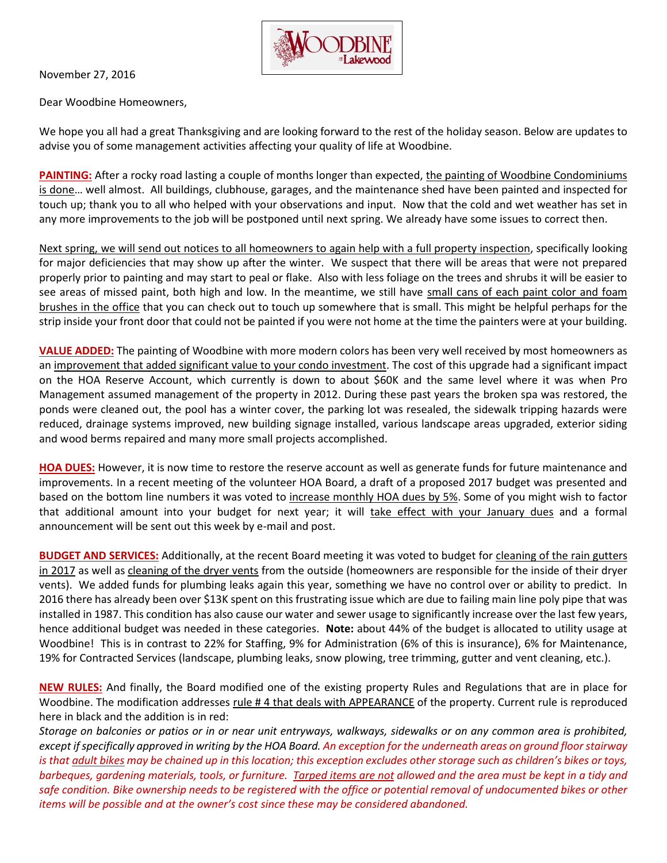

November 27, 2016

Dear Woodbine Homeowners,

We hope you all had a great Thanksgiving and are looking forward to the rest of the holiday season. Below are updates to advise you of some management activities affecting your quality of life at Woodbine.

**PAINTING:** After a rocky road lasting a couple of months longer than expected, the painting of Woodbine Condominiums is done… well almost. All buildings, clubhouse, garages, and the maintenance shed have been painted and inspected for touch up; thank you to all who helped with your observations and input. Now that the cold and wet weather has set in any more improvements to the job will be postponed until next spring. We already have some issues to correct then.

Next spring, we will send out notices to all homeowners to again help with a full property inspection, specifically looking for major deficiencies that may show up after the winter. We suspect that there will be areas that were not prepared properly prior to painting and may start to peal or flake. Also with less foliage on the trees and shrubs it will be easier to see areas of missed paint, both high and low. In the meantime, we still have small cans of each paint color and foam brushes in the office that you can check out to touch up somewhere that is small. This might be helpful perhaps for the strip inside your front door that could not be painted if you were not home at the time the painters were at your building.

**VALUE ADDED:** The painting of Woodbine with more modern colors has been very well received by most homeowners as an improvement that added significant value to your condo investment. The cost of this upgrade had a significant impact on the HOA Reserve Account, which currently is down to about \$60K and the same level where it was when Pro Management assumed management of the property in 2012. During these past years the broken spa was restored, the ponds were cleaned out, the pool has a winter cover, the parking lot was resealed, the sidewalk tripping hazards were reduced, drainage systems improved, new building signage installed, various landscape areas upgraded, exterior siding and wood berms repaired and many more small projects accomplished.

**HOA DUES:** However, it is now time to restore the reserve account as well as generate funds for future maintenance and improvements. In a recent meeting of the volunteer HOA Board, a draft of a proposed 2017 budget was presented and based on the bottom line numbers it was voted to increase monthly HOA dues by 5%. Some of you might wish to factor that additional amount into your budget for next year; it will take effect with your January dues and a formal announcement will be sent out this week by e-mail and post.

**BUDGET AND SERVICES:** Additionally, at the recent Board meeting it was voted to budget for cleaning of the rain gutters in 2017 as well as cleaning of the dryer vents from the outside (homeowners are responsible for the inside of their dryer vents). We added funds for plumbing leaks again this year, something we have no control over or ability to predict. In 2016 there has already been over \$13K spent on this frustrating issue which are due to failing main line poly pipe that was installed in 1987. This condition has also cause our water and sewer usage to significantly increase over the last few years, hence additional budget was needed in these categories. **Note:** about 44% of the budget is allocated to utility usage at Woodbine! This is in contrast to 22% for Staffing, 9% for Administration (6% of this is insurance), 6% for Maintenance, 19% for Contracted Services (landscape, plumbing leaks, snow plowing, tree trimming, gutter and vent cleaning, etc.).

**NEW RULES:** And finally, the Board modified one of the existing property Rules and Regulations that are in place for Woodbine. The modification addresses rule # 4 that deals with APPEARANCE of the property. Current rule is reproduced here in black and the addition is in red:

*Storage on balconies or patios or in or near unit entryways, walkways, sidewalks or on any common area is prohibited, except if specifically approved in writing by the HOA Board. An exception for the underneath areas on ground floor stairway is that adult bikes may be chained up in this location; this exception excludes other storage such as children's bikes or toys, barbeques, gardening materials, tools, or furniture. Tarped items are not allowed and the area must be kept in a tidy and safe condition. Bike ownership needs to be registered with the office or potential removal of undocumented bikes or other items will be possible and at the owner's cost since these may be considered abandoned.*